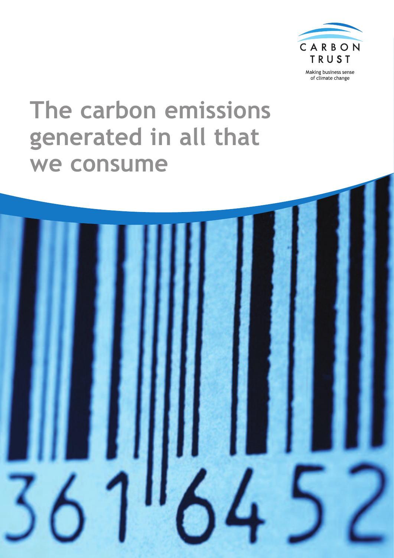

Making business sense of climate change

# **The carbon emissions generated in all that we consume**

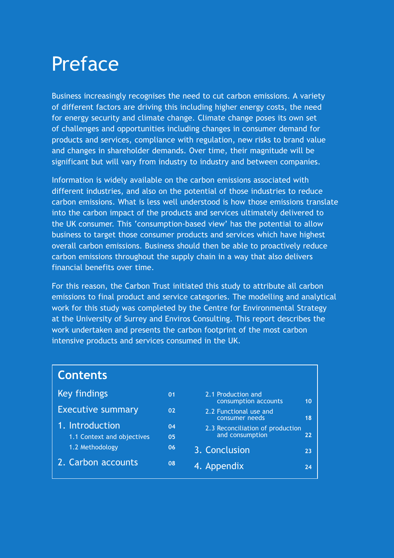# Preface

Business increasingly recognises the need to cut carbon emissions. A variety of different factors are driving this including higher energy costs, the need for energy security and climate change. Climate change poses its own set of challenges and opportunities including changes in consumer demand for products and services, compliance with regulation, new risks to brand value and changes in shareholder demands. Over time, their magnitude will be significant but will vary from industry to industry and between companies.

Information is widely available on the carbon emissions associated with different industries, and also on the potential of those industries to reduce carbon emissions. What is less well understood is how those emissions translate into the carbon impact of the products and services ultimately delivered to the UK consumer. This 'consumption-based view' has the potential to allow business to target those consumer products and services which have highest overall carbon emissions. Business should then be able to proactively reduce carbon emissions throughout the supply chain in a way that also delivers financial benefits over time.

For this reason, the Carbon Trust initiated this study to attribute all carbon emissions to final product and service categories. The modelling and analytical work for this study was completed by the Centre for Environmental Strategy at the University of Surrey and Enviros Consulting. This report describes the work undertaken and presents the carbon footprint of the most carbon intensive products and services consumed in the UK.

| <b>Contents</b>            |    |                                                     |    |
|----------------------------|----|-----------------------------------------------------|----|
| Key findings               | 01 | 2.1 Production and<br>consumption accounts          | 10 |
| <b>Executive summary</b>   | 02 | 2.2 Functional use and<br>consumer needs            | 18 |
| 1. Introduction            | 04 |                                                     |    |
| 1.1 Context and objectives | 05 | 2.3 Reconciliation of production<br>and consumption | 22 |
| 1.2 Methodology            | 06 | 3. Conclusion                                       | 23 |
| 2. Carbon accounts         | 08 | 4. Appendix                                         | 74 |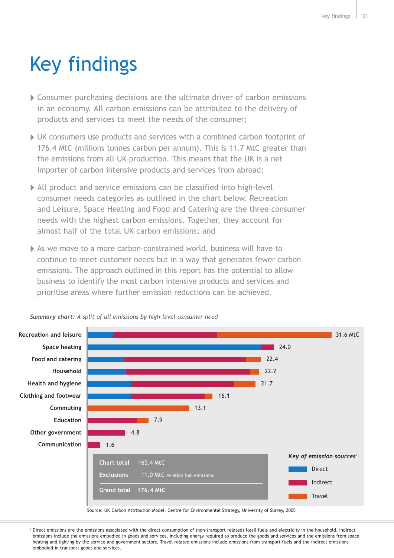# Key findings

- Consumer purchasing decisions are the ultimate driver of carbon emissions in an economy. All carbon emissions can be attributed to the delivery of products and services to meet the needs of the consumer;
- UK consumers use products and services with a combined carbon footprint of 176.4 MtC (millions tonnes carbon per annum). This is 11.7 MtC greater than the emissions from all UK production. This means that the UK is a net importer of carbon intensive products and services from abroad;
- All product and service emissions can be classified into high-level consumer needs categories as outlined in the chart below. Recreation and Leisure, Space Heating and Food and Catering are the three consumer needs with the highest carbon emissions. Together, they account for almost half of the total UK carbon emissions; and
- As we move to a more carbon-constrained world, business will have to continue to meet customer needs but in a way that generates fewer carbon emissions. The approach outlined in this report has the potential to allow business to identify the most carbon intensive products and services and prioritise areas where further emission reductions can be achieved.



*Summary chart: A split of all emissions by high-level consumer need*

Source: UK Carbon Attribution Model, Centre for Environmental Strategy, University of Surrey, 2005

<sup>1</sup> Direct emissions are the emissions associated with the direct consumption of (non-transport related) fossil fuels and electricity in the household. Indirect emissions include the emissions embodied in goods and services, including energy required to produce the goods and services and the emissions from space heating and lighting by the service and government sectors. Travel-related emissions include emissions from transport fuels and the indirect emissions embodied in transport goods and services.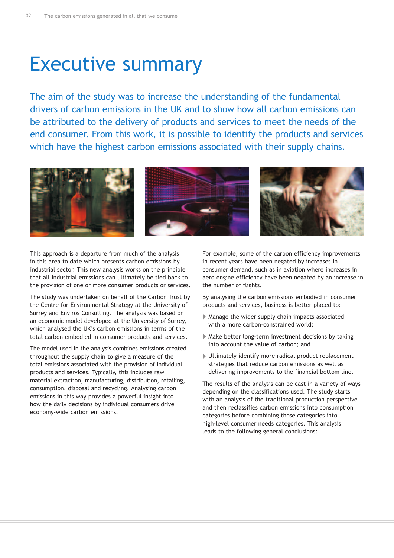# Executive summary

The aim of the study was to increase the understanding of the fundamental drivers of carbon emissions in the UK and to show how all carbon emissions can be attributed to the delivery of products and services to meet the needs of the end consumer. From this work, it is possible to identify the products and services which have the highest carbon emissions associated with their supply chains.



This approach is a departure from much of the analysis in this area to date which presents carbon emissions by industrial sector. This new analysis works on the principle that all industrial emissions can ultimately be tied back to the provision of one or more consumer products or services.

The study was undertaken on behalf of the Carbon Trust by the Centre for Environmental Strategy at the University of Surrey and Enviros Consulting. The analysis was based on an economic model developed at the University of Surrey, which analysed the UK's carbon emissions in terms of the total carbon embodied in consumer products and services.

The model used in the analysis combines emissions created throughout the supply chain to give a measure of the total emissions associated with the provision of individual products and services. Typically, this includes raw material extraction, manufacturing, distribution, retailing, consumption, disposal and recycling. Analysing carbon emissions in this way provides a powerful insight into how the daily decisions by individual consumers drive economy-wide carbon emissions.

For example, some of the carbon efficiency improvements in recent years have been negated by increases in consumer demand, such as in aviation where increases in aero engine efficiency have been negated by an increase in the number of flights.

By analysing the carbon emissions embodied in consumer products and services, business is better placed to:

- Manage the wider supply chain impacts associated with a more carbon-constrained world;
- Make better long-term investment decisions by taking into account the value of carbon; and
- Ultimately identify more radical product replacement strategies that reduce carbon emissions as well as delivering improvements to the financial bottom line.

The results of the analysis can be cast in a variety of ways depending on the classifications used. The study starts with an analysis of the traditional production perspective and then reclassifies carbon emissions into consumption categories before combining those categories into high-level consumer needs categories. This analysis leads to the following general conclusions: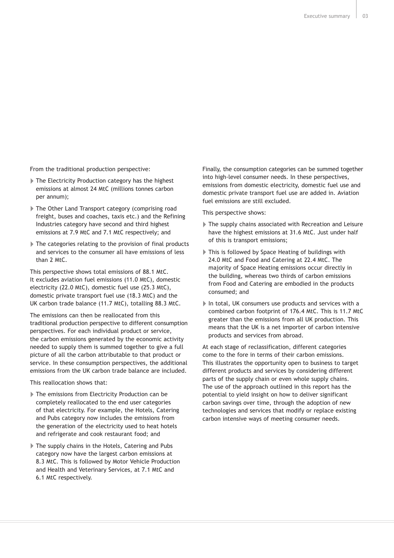From the traditional production perspective:

- The Electricity Production category has the highest emissions at almost 24 MtC (millions tonnes carbon per annum);
- The Other Land Transport category (comprising road freight, buses and coaches, taxis etc.) and the Refining Industries category have second and third highest emissions at 7.9 MtC and 7.1 MtC respectively; and
- The categories relating to the provision of final products and services to the consumer all have emissions of less than 2 MtC.

This perspective shows total emissions of 88.1 MtC. It excludes aviation fuel emissions (11.0 MtC), domestic electricity (22.0 MtC), domestic fuel use (25.3 MtC), domestic private transport fuel use (18.3 MtC) and the UK carbon trade balance (11.7 MtC), totalling 88.3 MtC.

The emissions can then be reallocated from this traditional production perspective to different consumption perspectives. For each individual product or service, the carbon emissions generated by the economic activity needed to supply them is summed together to give a full picture of all the carbon attributable to that product or service. In these consumption perspectives, the additional emissions from the UK carbon trade balance are included.

This reallocation shows that:

- The emissions from Electricity Production can be completely reallocated to the end user categories of that electricity. For example, the Hotels, Catering and Pubs category now includes the emissions from the generation of the electricity used to heat hotels and refrigerate and cook restaurant food; and
- The supply chains in the Hotels, Catering and Pubs category now have the largest carbon emissions at 8.3 MtC. This is followed by Motor Vehicle Production and Health and Veterinary Services, at 7.1 MtC and 6.1 MtC respectively.

Finally, the consumption categories can be summed together into high-level consumer needs. In these perspectives, emissions from domestic electricity, domestic fuel use and domestic private transport fuel use are added in. Aviation fuel emissions are still excluded.

This perspective shows:

- The supply chains associated with Recreation and Leisure have the highest emissions at 31.6 MtC. Just under half of this is transport emissions;
- This is followed by Space Heating of buildings with 24.0 MtC and Food and Catering at 22.4 MtC. The majority of Space Heating emissions occur directly in the building, whereas two thirds of carbon emissions from Food and Catering are embodied in the products consumed; and
- In total, UK consumers use products and services with a combined carbon footprint of 176.4 MtC. This is 11.7 MtC greater than the emissions from all UK production. This means that the UK is a net importer of carbon intensive products and services from abroad.

At each stage of reclassification, different categories come to the fore in terms of their carbon emissions. This illustrates the opportunity open to business to target different products and services by considering different parts of the supply chain or even whole supply chains. The use of the approach outlined in this report has the potential to yield insight on how to deliver significant carbon savings over time, through the adoption of new technologies and services that modify or replace existing carbon intensive ways of meeting consumer needs.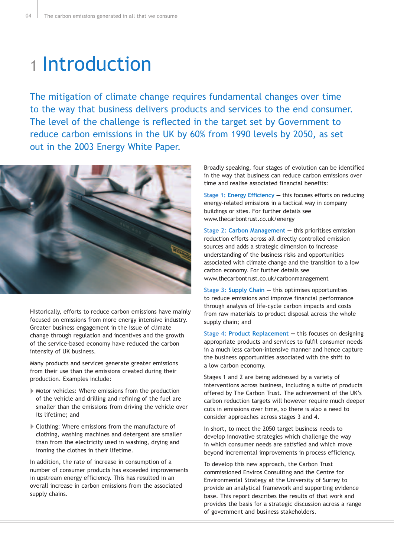# 1 Introduction

The mitigation of climate change requires fundamental changes over time to the way that business delivers products and services to the end consumer. The level of the challenge is reflected in the target set by Government to reduce carbon emissions in the UK by 60% from 1990 levels by 2050, as set out in the 2003 Energy White Paper.



Historically, efforts to reduce carbon emissions have mainly focused on emissions from more energy intensive industry. Greater business engagement in the issue of climate change through regulation and incentives and the growth of the service-based economy have reduced the carbon intensity of UK business.

Many products and services generate greater emissions from their use than the emissions created during their production. Examples include:

- Motor vehicles: Where emissions from the production of the vehicle and drilling and refining of the fuel are smaller than the emissions from driving the vehicle over its lifetime; and
- Clothing: Where emissions from the manufacture of clothing, washing machines and detergent are smaller than from the electricity used in washing, drying and ironing the clothes in their lifetime.

In addition, the rate of increase in consumption of a number of consumer products has exceeded improvements in upstream energy efficiency. This has resulted in an overall increase in carbon emissions from the associated supply chains.

Broadly speaking, four stages of evolution can be identified in the way that business can reduce carbon emissions over time and realise associated financial benefits:

**Stage 1: Energy Efficiency —** this focuses efforts on reducing energy-related emissions in a tactical way in company buildings or sites. For further details see www.thecarbontrust.co.uk/energy

**Stage 2: Carbon Management —** this prioritises emission reduction efforts across all directly controlled emission sources and adds a strategic dimension to increase understanding of the business risks and opportunities associated with climate change and the transition to a low carbon economy. For further details see www.thecarbontrust.co.uk/carbonmanagement

**Stage 3: Supply Chain —** this optimises opportunities to reduce emissions and improve financial performance through analysis of life-cycle carbon impacts and costs from raw materials to product disposal across the whole supply chain; and

**Stage 4: Product Replacement —** this focuses on designing appropriate products and services to fulfil consumer needs in a much less carbon-intensive manner and hence capture the business opportunities associated with the shift to a low carbon economy.

Stages 1 and 2 are being addressed by a variety of interventions across business, including a suite of products offered by The Carbon Trust. The achievement of the UK's carbon reduction targets will however require much deeper cuts in emissions over time, so there is also a need to consider approaches across stages 3 and 4.

In short, to meet the 2050 target business needs to develop innovative strategies which challenge the way in which consumer needs are satisfied and which move beyond incremental improvements in process efficiency.

To develop this new approach, the Carbon Trust commissioned Enviros Consulting and the Centre for Environmental Strategy at the University of Surrey to provide an analytical framework and supporting evidence base. This report describes the results of that work and provides the basis for a strategic discussion across a range of government and business stakeholders.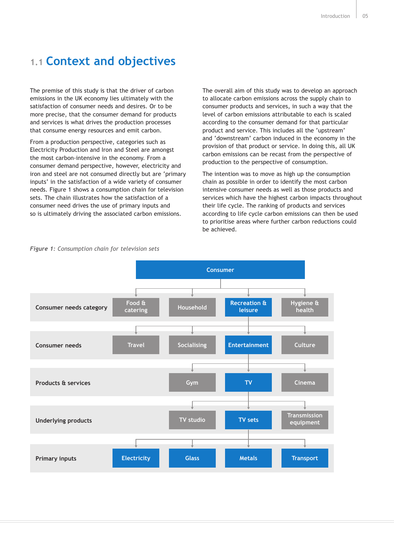## **1.1 Context and objectives**

The premise of this study is that the driver of carbon emissions in the UK economy lies ultimately with the satisfaction of consumer needs and desires. Or to be more precise, that the consumer demand for products and services is what drives the production processes that consume energy resources and emit carbon.

From a production perspective, categories such as Electricity Production and Iron and Steel are amongst the most carbon-intensive in the economy. From a consumer demand perspective, however, electricity and iron and steel are not consumed directly but are 'primary inputs' in the satisfaction of a wide variety of consumer needs. Figure 1 shows a consumption chain for television sets. The chain illustrates how the satisfaction of a consumer need drives the use of primary inputs and so is ultimately driving the associated carbon emissions.

The overall aim of this study was to develop an approach to allocate carbon emissions across the supply chain to consumer products and services, in such a way that the level of carbon emissions attributable to each is scaled according to the consumer demand for that particular product and service. This includes all the 'upstream' and 'downstream' carbon induced in the economy in the provision of that product or service. In doing this, all UK carbon emissions can be recast from the perspective of production to the perspective of consumption.

The intention was to move as high up the consumption chain as possible in order to identify the most carbon intensive consumer needs as well as those products and services which have the highest carbon impacts throughout their life cycle. The ranking of products and services according to life cycle carbon emissions can then be used to prioritise areas where further carbon reductions could be achieved.



#### *Figure 1: Consumption chain for television sets*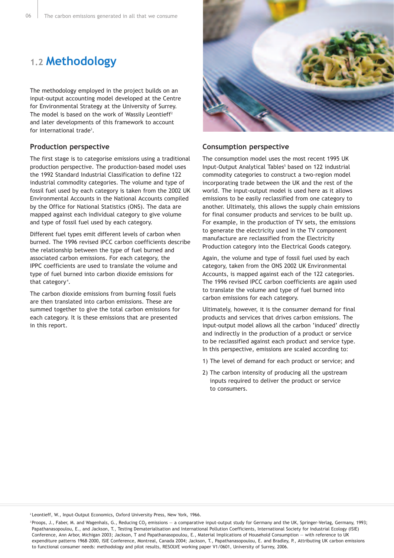## **1.2 Methodology**

The methodology employed in the project builds on an input-output accounting model developed at the Centre for Environmental Strategy at the University of Surrey. The model is based on the work of Wassily Leontieff<sup>2</sup> and later developments of this framework to account for international trade<sup>3</sup>.

#### **Production perspective**

The first stage is to categorise emissions using a traditional production perspective. The production-based model uses the 1992 Standard Industrial Classification to define 122 industrial commodity categories. The volume and type of fossil fuel used by each category is taken from the 2002 UK Environmental Accounts in the National Accounts compiled by the Office for National Statistics (ONS). The data are mapped against each individual category to give volume and type of fossil fuel used by each category.

Different fuel types emit different levels of carbon when burned. The 1996 revised IPCC carbon coefficients describe the relationship between the type of fuel burned and associated carbon emissions. For each category, the IPPC coefficients are used to translate the volume and type of fuel burned into carbon dioxide emissions for that category<sup>4</sup>.

The carbon dioxide emissions from burning fossil fuels are then translated into carbon emissions. These are summed together to give the total carbon emissions for each category. It is these emissions that are presented in this report.



#### **Consumption perspective**

The consumption model uses the most recent 1995 UK Input-Output Analytical Tables<sup>5</sup> based on 122 industrial commodity categories to construct a two-region model incorporating trade between the UK and the rest of the world. The input-output model is used here as it allows emissions to be easily reclassified from one category to another. Ultimately, this allows the supply chain emissions for final consumer products and services to be built up. For example, in the production of TV sets, the emissions to generate the electricity used in the TV component manufacture are reclassified from the Electricity Production category into the Electrical Goods category.

Again, the volume and type of fossil fuel used by each category, taken from the ONS 2002 UK Environmental Accounts, is mapped against each of the 122 categories. The 1996 revised IPCC carbon coefficients are again used to translate the volume and type of fuel burned into carbon emissions for each category.

Ultimately, however, it is the consumer demand for final products and services that drives carbon emissions. The input-output model allows all the carbon 'induced' directly and indirectly in the production of a product or service to be reclassified against each product and service type. In this perspective, emissions are scaled according to:

1) The level of demand for each product or service; and

2) The carbon intensity of producing all the upstream inputs required to deliver the product or service to consumers.

<sup>2</sup> Leontieff, W., Input-Output Economics, Oxford University Press, New York, 1966.

<sup>3</sup> Proops, J., Faber, M. and Wagenhals, G., Reducing CO<sub>2</sub> emissions - a comparative input-output study for Germany and the UK, Springer-Verlag, Germany, 1993; Papathanasopoulou, E., and Jackson, T., Testing Dematerialisation and International Pollution Coefficients, International Society for Industrial Ecology (ISIE) Conference, Ann Arbor, Michigan 2003; Jackson, T and Papathanasopoulou, E., Material Implications of Household Consumption — with reference to UK expenditure patterns 1968–2000, ISIE Conference, Montreal, Canada 2004; Jackson, T., Papathanasopoulou, E. and Bradley, P., Attributing UK carbon emissions to functional consumer needs: methodology and pilot results, RESOLVE working paper V1/0601, University of Surrey, 2006.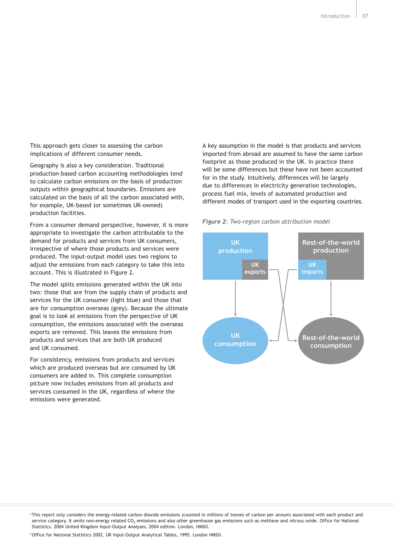This approach gets closer to assessing the carbon implications of different consumer needs.

Geography is also a key consideration. Traditional production-based carbon accounting methodologies tend to calculate carbon emissions on the basis of production outputs within geographical boundaries. Emissions are calculated on the basis of all the carbon associated with, for example, UK-based (or sometimes UK-owned) production facilities.

From a consumer demand perspective, however, it is more appropriate to investigate the carbon attributable to the demand for products and services from UK consumers, irrespective of where those products and services were produced. The input-output model uses two regions to adjust the emissions from each category to take this into account. This is illustrated in Figure 2.

The model splits emissions generated within the UK into two: those that are from the supply chain of products and services for the UK consumer (light blue) and those that are for consumption overseas (grey). Because the ultimate goal is to look at emissions from the perspective of UK consumption, the emissions associated with the overseas exports are removed. This leaves the emissions from products and services that are both UK produced and UK consumed.

For consistency, emissions from products and services which are produced overseas but are consumed by UK consumers are added in. This complete consumption picture now includes emissions from all products and services consumed in the UK, regardless of where the emissions were generated.

A key assumption in the model is that products and services imported from abroad are assumed to have the same carbon footprint as those produced in the UK. In practice there will be some differences but these have not been accounted for in the study. Intuitively, differences will be largely due to differences in electricity generation technologies, process fuel mix, levels of automated production and different modes of transport used in the exporting countries.





<sup>5</sup> Office for National Statistics 2002. UK Input-Output Analytical Tables, 1995. London HMSO.

<sup>4</sup> This report only considers the energy-related carbon dioxide emissions (counted in millions of tonnes of carbon per annum) associated with each product and service category. It omits non-energy related CO<sub>2</sub> emissions and also other greenhouse gas emissions such as methane and nitrous oxide. Office for National Statistics. 2004 United Kingdom Input-Output Analyses, 2004 edition. London, HMSO.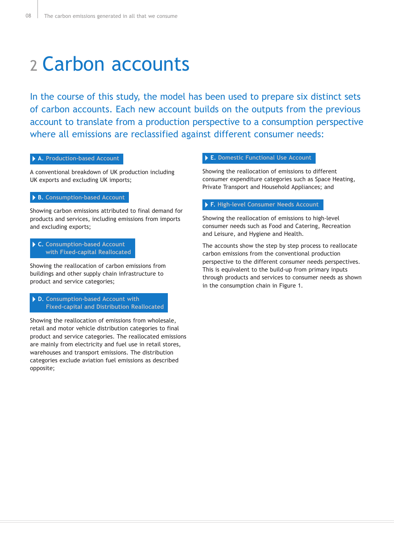# 2 Carbon accounts

In the course of this study, the model has been used to prepare six distinct sets of carbon accounts. Each new account builds on the outputs from the previous account to translate from a production perspective to a consumption perspective where all emissions are reclassified against different consumer needs:

#### **A. Production-based Account**

A conventional breakdown of UK production including UK exports and excluding UK imports;

#### **B. Consumption-based Account**

Showing carbon emissions attributed to final demand for products and services, including emissions from imports and excluding exports;

#### **C. Consumption-based Account with Fixed-capital Reallocated**

Showing the reallocation of carbon emissions from buildings and other supply chain infrastructure to product and service categories;

#### **D. Consumption-based Account with Fixed-capital and Distribution Reallocated**

Showing the reallocation of emissions from wholesale, retail and motor vehicle distribution categories to final product and service categories. The reallocated emissions are mainly from electricity and fuel use in retail stores, warehouses and transport emissions. The distribution categories exclude aviation fuel emissions as described opposite;

#### **E. Domestic Functional Use Account**

Showing the reallocation of emissions to different consumer expenditure categories such as Space Heating, Private Transport and Household Appliances; and

#### **F. High-level Consumer Needs Account**

Showing the reallocation of emissions to high-level consumer needs such as Food and Catering, Recreation and Leisure, and Hygiene and Health.

The accounts show the step by step process to reallocate carbon emissions from the conventional production perspective to the different consumer needs perspectives. This is equivalent to the build-up from primary inputs through products and services to consumer needs as shown in the consumption chain in Figure 1.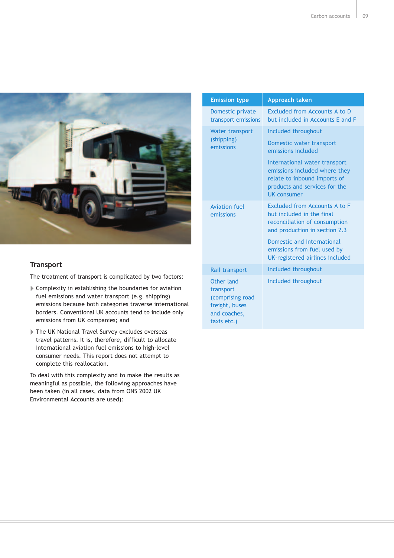

### **Transport**

The treatment of transport is complicated by two factors:

- Complexity in establishing the boundaries for aviation fuel emissions and water transport (e.g. shipping) emissions because both categories traverse international borders. Conventional UK accounts tend to include only emissions from UK companies; and
- The UK National Travel Survey excludes overseas travel patterns. It is, therefore, difficult to allocate international aviation fuel emissions to high-level consumer needs. This report does not attempt to complete this reallocation.

To deal with this complexity and to make the results as meaningful as possible, the following approaches have been taken (in all cases, data from ONS 2002 UK Environmental Accounts are used):

| <b>Emission type</b>                                                                         | Approach taken                                                                                                                                                                                                               |
|----------------------------------------------------------------------------------------------|------------------------------------------------------------------------------------------------------------------------------------------------------------------------------------------------------------------------------|
| Domestic private<br>transport emissions                                                      | Excluded from Accounts A to D<br>but included in Accounts E and F                                                                                                                                                            |
| <b>Water transport</b><br>(shipping)<br>emissions                                            | Included throughout<br>Domestic water transport<br>emissions included<br>International water transport<br>emissions included where they<br>relate to inbound imports of<br>products and services for the<br>UK consumer      |
| <b>Aviation fuel</b><br>emissions                                                            | Excluded from Accounts A to F<br>but included in the final<br>reconciliation of consumption<br>and production in section 2.3<br>Domestic and international<br>emissions from fuel used by<br>UK-registered airlines included |
| Rail transport                                                                               | Included throughout                                                                                                                                                                                                          |
| Other land<br>transport<br>(comprising road<br>freight, buses<br>and coaches,<br>taxis etc.) | Included throughout                                                                                                                                                                                                          |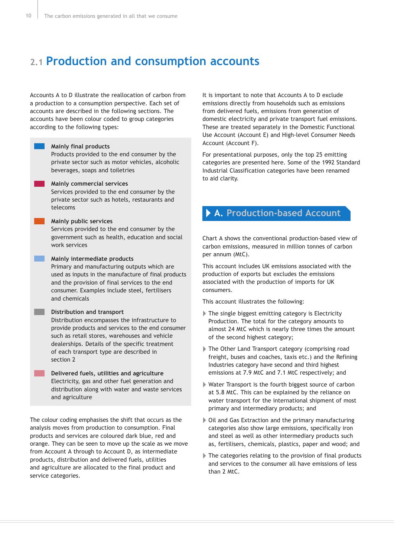## **2.1 Production and consumption accounts**

Accounts A to D illustrate the reallocation of carbon from a production to a consumption perspective. Each set of accounts are described in the following sections. The accounts have been colour coded to group categories according to the following types:

#### **Mainly final products**

Products provided to the end consumer by the private sector such as motor vehicles, alcoholic beverages, soaps and toiletries

#### **Mainly commercial services**

Services provided to the end consumer by the private sector such as hotels, restaurants and telecoms

#### **Mainly public services**

Services provided to the end consumer by the government such as health, education and social work services

#### **Mainly intermediate products**

Primary and manufacturing outputs which are used as inputs in the manufacture of final products and the provision of final services to the end consumer. Examples include steel, fertilisers and chemicals

#### **Distribution and transport**

Distribution encompasses the infrastructure to provide products and services to the end consumer such as retail stores, warehouses and vehicle dealerships. Details of the specific treatment of each transport type are described in section 2

#### **Delivered fuels, utilities and agriculture** Electricity, gas and other fuel generation and distribution along with water and waste services and agriculture

The colour coding emphasises the shift that occurs as the analysis moves from production to consumption. Final products and services are coloured dark blue, red and orange. They can be seen to move up the scale as we move from Account A through to Account D, as intermediate products, distribution and delivered fuels, utilities and agriculture are allocated to the final product and service categories.

It is important to note that Accounts A to D exclude emissions directly from households such as emissions from delivered fuels, emissions from generation of domestic electricity and private transport fuel emissions. These are treated separately in the Domestic Functional Use Account (Account E) and High-level Consumer Needs Account (Account F).

For presentational purposes, only the top 25 emitting categories are presented here. Some of the 1992 Standard Industrial Classification categories have been renamed to aid clarity.

### **A. Production-based Account**

Chart A shows the conventional production-based view of carbon emissions, measured in million tonnes of carbon per annum (MtC).

This account includes UK emissions associated with the production of exports but excludes the emissions associated with the production of imports for UK consumers.

This account illustrates the following:

- The single biggest emitting category is Electricity Production. The total for the category amounts to almost 24 MtC which is nearly three times the amount of the second highest category;
- The Other Land Transport category (comprising road freight, buses and coaches, taxis etc.) and the Refining Industries category have second and third highest emissions at 7.9 MtC and 7.1 MtC respectively; and
- Water Transport is the fourth biggest source of carbon at 5.8 MtC. This can be explained by the reliance on water transport for the international shipment of most primary and intermediary products; and
- Oil and Gas Extraction and the primary manufacturing categories also show large emissions, specifically iron and steel as well as other intermediary products such as, fertilisers, chemicals, plastics, paper and wood; and
- The categories relating to the provision of final products and services to the consumer all have emissions of less than 2 MtC.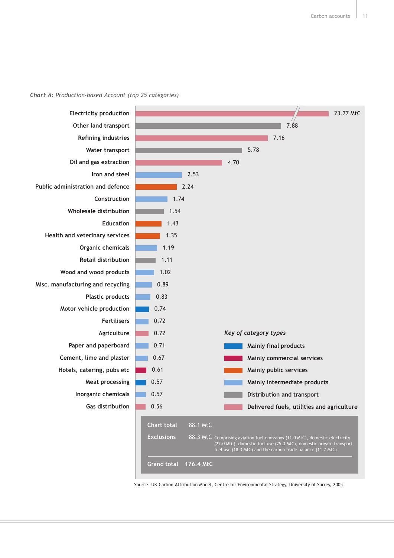



Source: UK Carbon Attribution Model, Centre for Environmental Strategy, University of Surrey, 2005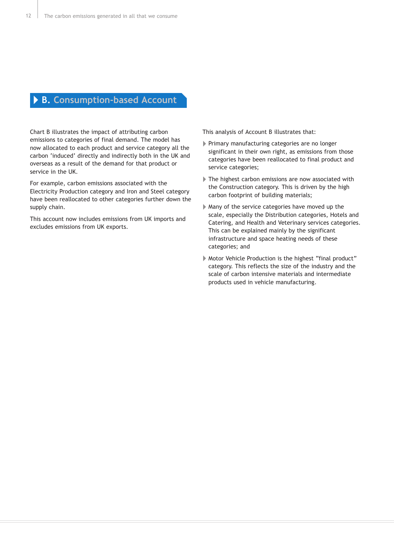### **B. Consumption-based Account**

Chart B illustrates the impact of attributing carbon emissions to categories of final demand. The model has now allocated to each product and service category all the carbon 'induced' directly and indirectly both in the UK and overseas as a result of the demand for that product or service in the UK.

For example, carbon emissions associated with the Electricity Production category and Iron and Steel category have been reallocated to other categories further down the supply chain.

This account now includes emissions from UK imports and excludes emissions from UK exports.

This analysis of Account B illustrates that:

- Primary manufacturing categories are no longer significant in their own right, as emissions from those categories have been reallocated to final product and service categories;
- The highest carbon emissions are now associated with the Construction category. This is driven by the high carbon footprint of building materials;
- Many of the service categories have moved up the scale, especially the Distribution categories, Hotels and Catering, and Health and Veterinary services categories. This can be explained mainly by the significant infrastructure and space heating needs of these categories; and
- Motor Vehicle Production is the highest "final product" category. This reflects the size of the industry and the scale of carbon intensive materials and intermediate products used in vehicle manufacturing.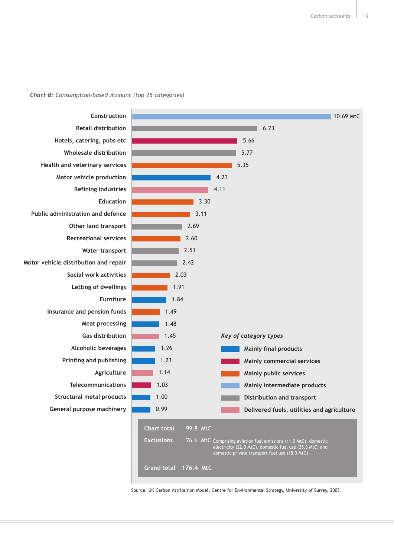



Source: UK Carbon Attribution Model, Centre for Environmental Strategy, University of Surrey, 2005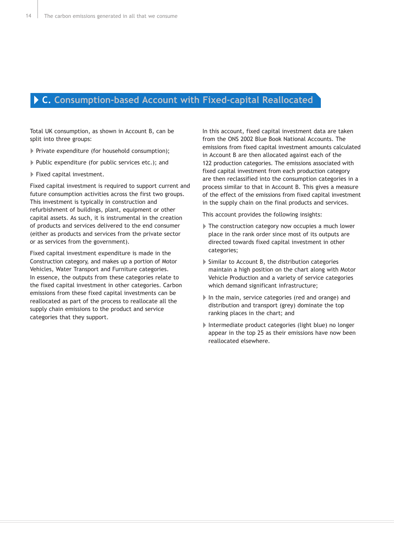### **C. Consumption-based Account with Fixed-capital Reallocated**

Total UK consumption, as shown in Account B, can be split into three groups:

- Private expenditure (for household consumption);
- Public expenditure (for public services etc.); and
- Fixed capital investment.

Fixed capital investment is required to support current and future consumption activities across the first two groups. This investment is typically in construction and refurbishment of buildings, plant, equipment or other capital assets. As such, it is instrumental in the creation of products and services delivered to the end consumer (either as products and services from the private sector or as services from the government).

Fixed capital investment expenditure is made in the Construction category, and makes up a portion of Motor Vehicles, Water Transport and Furniture categories. In essence, the outputs from these categories relate to the fixed capital investment in other categories. Carbon emissions from these fixed capital investments can be reallocated as part of the process to reallocate all the supply chain emissions to the product and service categories that they support.

In this account, fixed capital investment data are taken from the ONS 2002 Blue Book National Accounts. The emissions from fixed capital investment amounts calculated in Account B are then allocated against each of the 122 production categories. The emissions associated with fixed capital investment from each production category are then reclassified into the consumption categories in a process similar to that in Account B. This gives a measure of the effect of the emissions from fixed capital investment in the supply chain on the final products and services.

This account provides the following insights:

- The construction category now occupies a much lower place in the rank order since most of its outputs are directed towards fixed capital investment in other categories;
- Similar to Account B, the distribution categories maintain a high position on the chart along with Motor Vehicle Production and a variety of service categories which demand significant infrastructure;
- In the main, service categories (red and orange) and distribution and transport (grey) dominate the top ranking places in the chart; and
- Intermediate product categories (light blue) no longer appear in the top 25 as their emissions have now been reallocated elsewhere.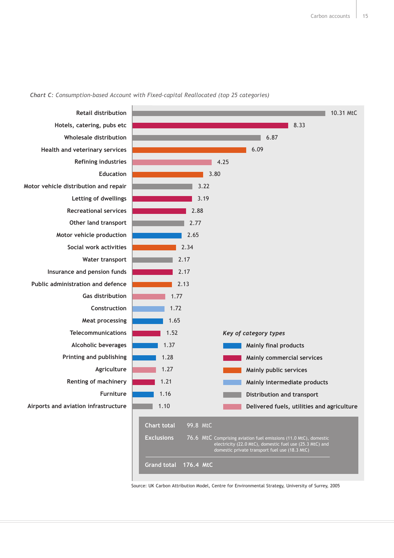

#### *Chart C: Consumption-based Account with Fixed-capital Reallocated (top 25 categories)*

Source: UK Carbon Attribution Model, Centre for Environmental Strategy, University of Surrey, 2005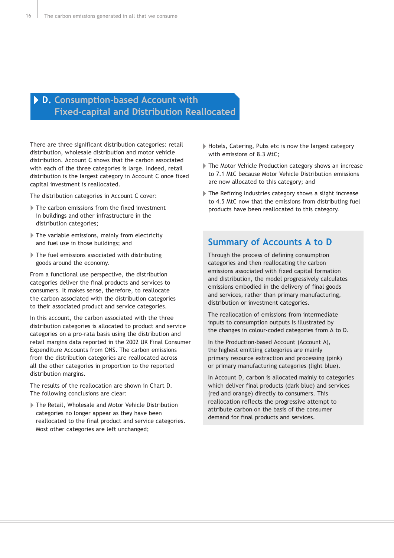### **D. Consumption-based Account with Fixed-capital and Distribution Reallocated**

There are three significant distribution categories: retail distribution, wholesale distribution and motor vehicle distribution. Account C shows that the carbon associated with each of the three categories is large. Indeed, retail distribution is the largest category in Account C once fixed capital investment is reallocated.

The distribution categories in Account C cover:

- The carbon emissions from the fixed investment in buildings and other infrastructure in the distribution categories;
- The variable emissions, mainly from electricity and fuel use in those buildings; and
- The fuel emissions associated with distributing goods around the economy.

From a functional use perspective, the distribution categories deliver the final products and services to consumers. It makes sense, therefore, to reallocate the carbon associated with the distribution categories to their associated product and service categories.

In this account, the carbon associated with the three distribution categories is allocated to product and service categories on a pro-rata basis using the distribution and retail margins data reported in the 2002 UK Final Consumer Expenditure Accounts from ONS. The carbon emissions from the distribution categories are reallocated across all the other categories in proportion to the reported distribution margins.

The results of the reallocation are shown in Chart D. The following conclusions are clear:

The Retail, Wholesale and Motor Vehicle Distribution categories no longer appear as they have been reallocated to the final product and service categories. Most other categories are left unchanged;

- ▶ Hotels, Catering, Pubs etc is now the largest category with emissions of 8.3 MtC;
- The Motor Vehicle Production category shows an increase to 7.1 MtC because Motor Vehicle Distribution emissions are now allocated to this category; and
- The Refining Industries category shows a slight increase to 4.5 MtC now that the emissions from distributing fuel products have been reallocated to this category.

### **Summary of Accounts A to D**

Through the process of defining consumption categories and then reallocating the carbon emissions associated with fixed capital formation and distribution, the model progressively calculates emissions embodied in the delivery of final goods and services, rather than primary manufacturing, distribution or investment categories.

The reallocation of emissions from intermediate inputs to consumption outputs is illustrated by the changes in colour-coded categories from A to D.

In the Production-based Account (Account A), the highest emitting categories are mainly primary resource extraction and processing (pink) or primary manufacturing categories (light blue).

In Account D, carbon is allocated mainly to categories which deliver final products (dark blue) and services (red and orange) directly to consumers. This reallocation reflects the progressive attempt to attribute carbon on the basis of the consumer demand for final products and services.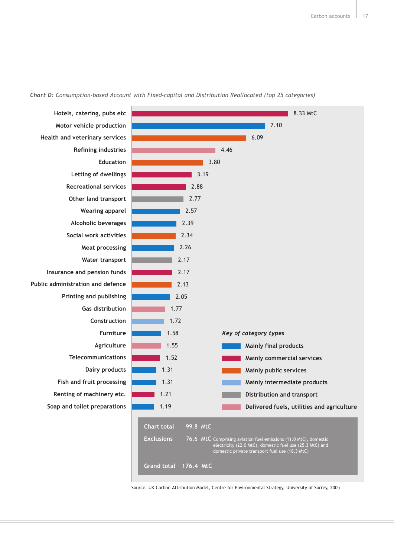

#### *Chart D: Consumption-based Account with Fixed-capital and Distribution Reallocated (top 25 categories)*

Source: UK Carbon Attribution Model, Centre for Environmental Strategy, University of Surrey, 2005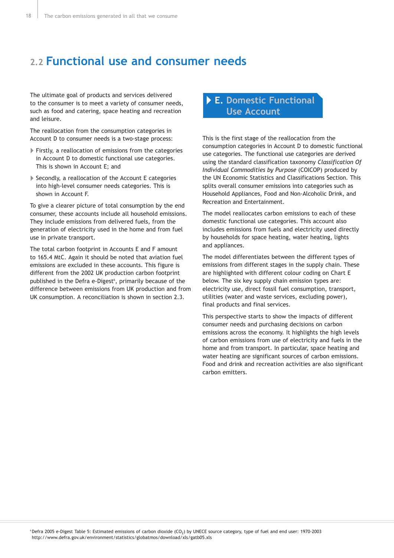## **2.2 Functional use and consumer needs**

The ultimate goal of products and services delivered to the consumer is to meet a variety of consumer needs, such as food and catering, space heating and recreation and leisure.

The reallocation from the consumption categories in Account D to consumer needs is a two-stage process:

- Firstly, a reallocation of emissions from the categories in Account D to domestic functional use categories. This is shown in Account E; and
- Secondly, a reallocation of the Account E categories into high-level consumer needs categories. This is shown in Account F.

To give a clearer picture of total consumption by the end consumer, these accounts include all household emissions. They include emissions from delivered fuels, from the generation of electricity used in the home and from fuel use in private transport.

The total carbon footprint in Accounts E and F amount to 165.4 MtC. Again it should be noted that aviation fuel emissions are excluded in these accounts. This figure is different from the 2002 UK production carbon footprint published in the Defra e-Digest<sup>6</sup>, primarily because of the difference between emissions from UK production and from UK consumption. A reconciliation is shown in section 2.3.

### **E. Domestic Functional Use Account**

This is the first stage of the reallocation from the consumption categories in Account D to domestic functional use categories. The functional use categories are derived using the standard classification taxonomy *Classification Of Individual Commodities by Purpose* (COICOP) produced by the UN Economic Statistics and Classifications Section. This splits overall consumer emissions into categories such as Household Appliances, Food and Non-Alcoholic Drink, and Recreation and Entertainment.

The model reallocates carbon emissions to each of these domestic functional use categories. This account also includes emissions from fuels and electricity used directly by households for space heating, water heating, lights and appliances.

The model differentiates between the different types of emissions from different stages in the supply chain. These are highlighted with different colour coding on Chart E below. The six key supply chain emission types are: electricity use, direct fossil fuel consumption, transport, utilities (water and waste services, excluding power), final products and final services.

This perspective starts to show the impacts of different consumer needs and purchasing decisions on carbon emissions across the economy. It highlights the high levels of carbon emissions from use of electricity and fuels in the home and from transport. In particular, space heating and water heating are significant sources of carbon emissions. Food and drink and recreation activities are also significant carbon emitters.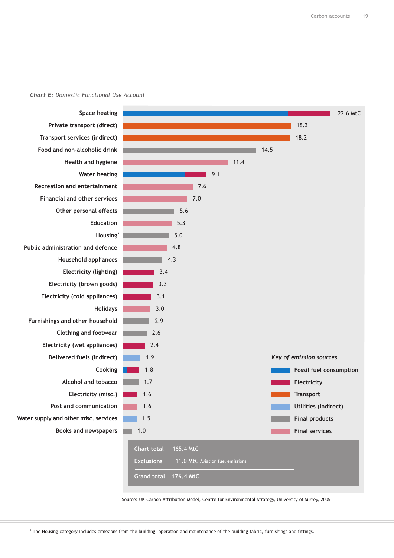#### *Chart E: Domestic Functional Use Account*



Source: UK Carbon Attribution Model, Centre for Environmental Strategy, University of Surrey, 2005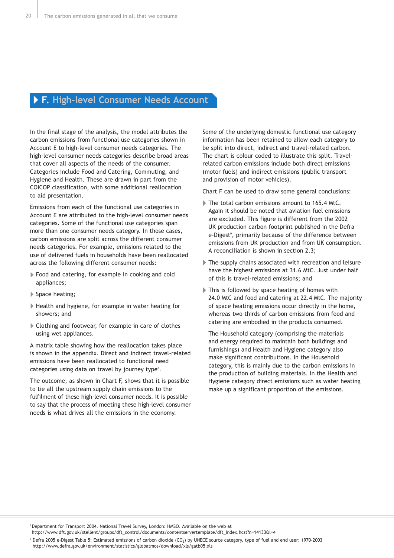### **F. High-level Consumer Needs Account**

In the final stage of the analysis, the model attributes the carbon emissions from functional use categories shown in Account E to high-level consumer needs categories. The high-level consumer needs categories describe broad areas that cover all aspects of the needs of the consumer. Categories include Food and Catering, Commuting, and Hygiene and Health. These are drawn in part from the COICOP classification, with some additional reallocation to aid presentation.

Emissions from each of the functional use categories in Account E are attributed to the high-level consumer needs categories. Some of the functional use categories span more than one consumer needs category. In those cases, carbon emissions are split across the different consumer needs categories. For example, emissions related to the use of delivered fuels in households have been reallocated across the following different consumer needs:

- Food and catering, for example in cooking and cold appliances;
- Space heating;
- Health and hygiene, for example in water heating for showers; and
- Clothing and footwear, for example in care of clothes using wet appliances.

A matrix table showing how the reallocation takes place is shown in the appendix. Direct and indirect travel-related emissions have been reallocated to functional need categories using data on travel by journey type<sup>8</sup>.

The outcome, as shown in Chart F, shows that it is possible to tie all the upstream supply chain emissions to the fulfilment of these high-level consumer needs. It is possible to say that the process of meeting these high-level consumer needs is what drives all the emissions in the economy.

Some of the underlying domestic functional use category information has been retained to allow each category to be split into direct, indirect and travel-related carbon. The chart is colour coded to illustrate this split. Travelrelated carbon emissions include both direct emissions (motor fuels) and indirect emissions (public transport and provision of motor vehicles).

Chart F can be used to draw some general conclusions:

- The total carbon emissions amount to 165.4 MtC. Again it should be noted that aviation fuel emissions are excluded. This figure is different from the 2002 UK production carbon footprint published in the Defra e-Digest<sup>9</sup>, primarily because of the difference between emissions from UK production and from UK consumption. A reconciliation is shown in section 2.3;
- The supply chains associated with recreation and leisure have the highest emissions at 31.6 MtC. Just under half of this is travel-related emissions; and
- This is followed by space heating of homes with 24.0 MtC and food and catering at 22.4 MtC. The majority of space heating emissions occur directly in the home, whereas two thirds of carbon emissions from food and catering are embodied in the products consumed.

The Household category (comprising the materials and energy required to maintain both buildings and furnishings) and Health and Hygiene category also make significant contributions. In the Household category, this is mainly due to the carbon emissions in the production of building materials. In the Health and Hygiene category direct emissions such as water heating make up a significant proportion of the emissions.

<sup>8</sup> Department for Transport 2004. National Travel Survey, London: HMSO. Available on the web at

http://www.dft.gov.uk/stellent/groups/dft\_control/documents/contentservertemplate/dft\_index.hcst?n=14133&l=4

<sup>9</sup> Defra 2005 e-Digest Table 5: Estimated emissions of carbon dioxide (CO<sub>2</sub>) by UNECE source category, type of fuel and end user: 1970-2003 http://www.defra.gov.uk/environment/statistics/globatmos/download/xls/gatb05.xls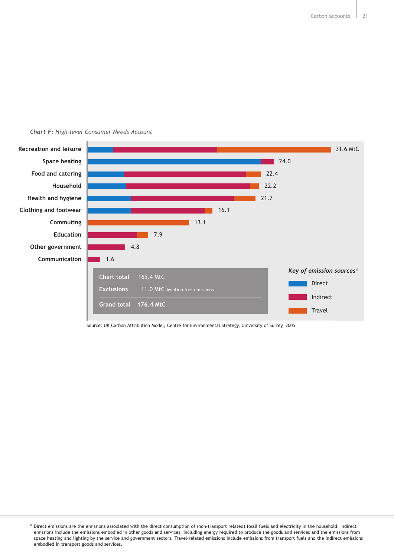

#### *Chart F: High-level Consumer Needs Account*

Source: UK Carbon Attribution Model, Centre for Environmental Strategy, University of Surrey, 2005

<sup>&</sup>lt;sup>10</sup> Direct emissions are the emissions associated with the direct consumption of (non-transport related) fossil fuels and electricity in the household. Indirect emissions include the emissions embodied in other goods and services, including energy required to produce the goods and services and the emissions from space heating and lighting by the service and government sectors. Travel-related emissions include emissions from transport fuels and the indirect emissions embodied in transport goods and services.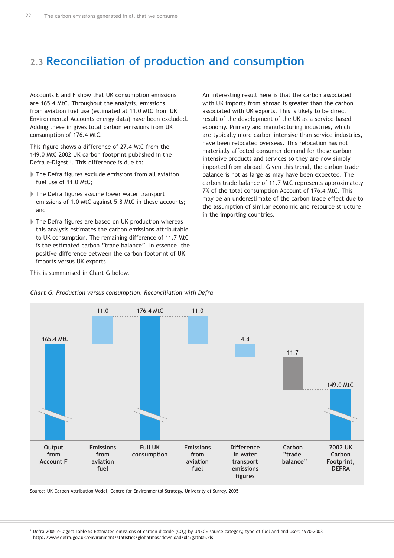## **2.3 Reconciliation of production and consumption**

Accounts E and F show that UK consumption emissions are 165.4 MtC. Throughout the analysis, emissions from aviation fuel use (estimated at 11.0 MtC from UK Environmental Accounts energy data) have been excluded. Adding these in gives total carbon emissions from UK consumption of 176.4 MtC.

This figure shows a difference of 27.4 MtC from the 149.0 MtC 2002 UK carbon footprint published in the Defra e-Digest<sup>11</sup>. This difference is due to:

- The Defra figures exclude emissions from all aviation fuel use of 11.0 MtC;
- The Defra figures assume lower water transport emissions of 1.0 MtC against 5.8 MtC in these accounts; and
- The Defra figures are based on UK production whereas this analysis estimates the carbon emissions attributable to UK consumption. The remaining difference of 11.7 MtC is the estimated carbon "trade balance". In essence, the positive difference between the carbon footprint of UK imports versus UK exports.

An interesting result here is that the carbon associated with UK imports from abroad is greater than the carbon associated with UK exports. This is likely to be direct result of the development of the UK as a service-based economy. Primary and manufacturing industries, which are typically more carbon intensive than service industries, have been relocated overseas. This relocation has not materially affected consumer demand for those carbon intensive products and services so they are now simply imported from abroad. Given this trend, the carbon trade balance is not as large as may have been expected. The carbon trade balance of 11.7 MtC represents approximately 7% of the total consumption Account of 176.4 MtC. This may be an underestimate of the carbon trade effect due to the assumption of similar economic and resource structure in the importing countries.





#### *Chart G: Production versus consumption: Reconciliation with Defra*

Source: UK Carbon Attribution Model, Centre for Environmental Strategy, University of Surrey, 2005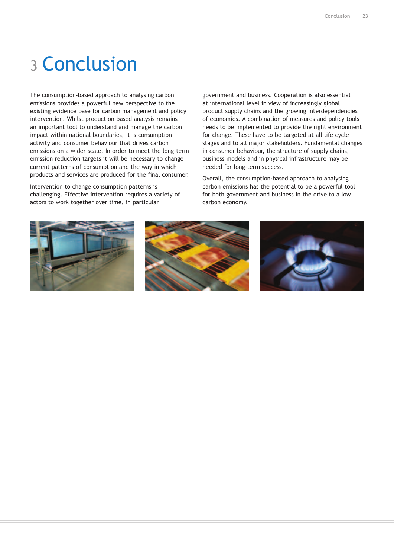# 3 Conclusion

The consumption-based approach to analysing carbon emissions provides a powerful new perspective to the existing evidence base for carbon management and policy intervention. Whilst production-based analysis remains an important tool to understand and manage the carbon impact within national boundaries, it is consumption activity and consumer behaviour that drives carbon emissions on a wider scale. In order to meet the long-term emission reduction targets it will be necessary to change current patterns of consumption and the way in which products and services are produced for the final consumer.

Intervention to change consumption patterns is challenging. Effective intervention requires a variety of actors to work together over time, in particular

government and business. Cooperation is also essential at international level in view of increasingly global product supply chains and the growing interdependencies of economies. A combination of measures and policy tools needs to be implemented to provide the right environment for change. These have to be targeted at all life cycle stages and to all major stakeholders. Fundamental changes in consumer behaviour, the structure of supply chains, business models and in physical infrastructure may be needed for long-term success.

Overall, the consumption-based approach to analysing carbon emissions has the potential to be a powerful tool for both government and business in the drive to a low carbon economy.





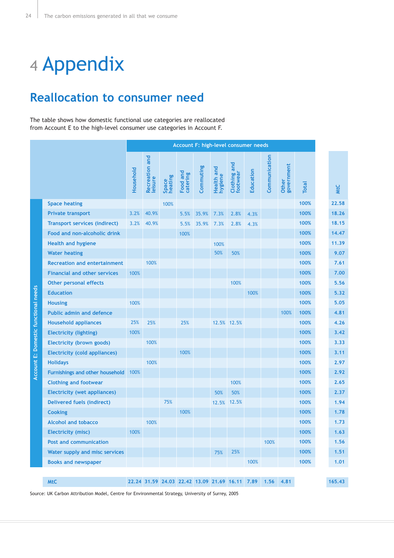# 4 Appendix

## **Reallocation to consumer need**

The table shows how domestic functional use categories are reallocated from Account E to the high-level consumer use categories in Account F.

|                                      |                                        |           | Account F: high-level consumer needs |                  |                      |           |                       |                                                |           |               |                     |              |        |
|--------------------------------------|----------------------------------------|-----------|--------------------------------------|------------------|----------------------|-----------|-----------------------|------------------------------------------------|-----------|---------------|---------------------|--------------|--------|
|                                      |                                        | Household | and<br>Recreation a                  | Space<br>heating | Food and<br>catering | Commuting | Health and<br>hygiene | Clothing and<br>footwear                       | Education | Communication | Other<br>government | <b>Total</b> | WtC    |
|                                      | <b>Space heating</b>                   |           |                                      | 100%             |                      |           |                       |                                                |           |               |                     | 100%         | 22.58  |
|                                      | <b>Private transport</b>               | 3.2%      | 40.9%                                |                  | 5.5%                 | 35.9%     | 7.3%                  | 2.8%                                           | 4.3%      |               |                     | 100%         | 18.26  |
|                                      | <b>Transport services (indirect)</b>   | 3.2%      | 40.9%                                |                  | 5.5%                 | 35.9%     | 7.3%                  | 2.8%                                           | 4.3%      |               |                     | 100%         | 18.15  |
|                                      | Food and non-alcoholic drink           |           |                                      |                  | 100%                 |           |                       |                                                |           |               |                     | 100%         | 14.47  |
|                                      | <b>Health and hygiene</b>              |           |                                      |                  |                      |           | 100%                  |                                                |           |               |                     | 100%         | 11.39  |
|                                      | <b>Water heating</b>                   |           |                                      |                  |                      |           | 50%                   | 50%                                            |           |               |                     | 100%         | 9.07   |
| Account E: Domestic functional needs | <b>Recreation and entertainment</b>    |           | 100%                                 |                  |                      |           |                       |                                                |           |               |                     | 100%         | 7.61   |
|                                      | <b>Financial and other services</b>    | 100%      |                                      |                  |                      |           |                       |                                                |           |               |                     | 100%         | 7.00   |
|                                      | <b>Other personal effects</b>          |           |                                      |                  |                      |           |                       | 100%                                           |           |               |                     | 100%         | 5.56   |
|                                      | <b>Education</b>                       |           |                                      |                  |                      |           |                       |                                                | 100%      |               |                     | 100%         | 5.32   |
|                                      | <b>Housing</b>                         | 100%      |                                      |                  |                      |           |                       |                                                |           |               |                     | 100%         | 5.05   |
|                                      | <b>Public admin and defence</b>        |           |                                      |                  |                      |           |                       |                                                |           |               | 100%                | 100%         | 4.81   |
|                                      | <b>Household appliances</b>            | 25%       | 25%                                  |                  | 25%                  |           |                       | 12.5% 12.5%                                    |           |               |                     | 100%         | 4.26   |
|                                      | <b>Electricity (lighting)</b>          | 100%      |                                      |                  |                      |           |                       |                                                |           |               |                     | 100%         | 3.42   |
|                                      | Electricity (brown goods)              |           | 100%                                 |                  |                      |           |                       |                                                |           |               |                     | 100%         | 3.33   |
|                                      | Electricity (cold appliances)          |           |                                      |                  | 100%                 |           |                       |                                                |           |               |                     | 100%         | 3.11   |
|                                      | <b>Holidays</b>                        |           | 100%                                 |                  |                      |           |                       |                                                |           |               |                     | 100%         | 2.97   |
|                                      | <b>Furnishings and other household</b> | 100%      |                                      |                  |                      |           |                       |                                                |           |               |                     | 100%         | 2.92   |
|                                      | <b>Clothing and footwear</b>           |           |                                      |                  |                      |           |                       | 100%                                           |           |               |                     | 100%         | 2.65   |
|                                      | <b>Electricity (wet appliances)</b>    |           |                                      |                  |                      |           | 50%                   | 50%                                            |           |               |                     | 100%         | 2.37   |
|                                      | Delivered fuels (indirect)             |           |                                      | 75%              |                      |           | 12.5%                 | 12.5%                                          |           |               |                     | 100%         | 1.94   |
|                                      | <b>Cooking</b>                         |           |                                      |                  | 100%                 |           |                       |                                                |           |               |                     | 100%         | 1.78   |
|                                      | <b>Alcohol and tobacco</b>             |           | 100%                                 |                  |                      |           |                       |                                                |           |               |                     | 100%         | 1.73   |
|                                      | <b>Electricity (misc)</b>              | 100%      |                                      |                  |                      |           |                       |                                                |           |               |                     | 100%         | 1.63   |
|                                      | <b>Post and communication</b>          |           |                                      |                  |                      |           |                       |                                                |           | 100%          |                     | 100%         | 1.56   |
|                                      | Water supply and misc services         |           |                                      |                  |                      |           | 75%                   | 25%                                            |           |               |                     | 100%         | 1.51   |
|                                      | <b>Books and newspaper</b>             |           |                                      |                  |                      |           |                       |                                                | 100%      |               |                     | 100%         | 1.01   |
|                                      |                                        |           |                                      |                  |                      |           |                       |                                                |           |               |                     |              |        |
|                                      | <b>MtC</b>                             |           |                                      |                  |                      |           |                       | 22.24 31.59 24.03 22.42 13.09 21.69 16.11 7.89 |           | 1.56          | 4.81                |              | 165.43 |

Source: UK Carbon Attribution Model, Centre for Environmental Strategy, University of Surrey, 2005